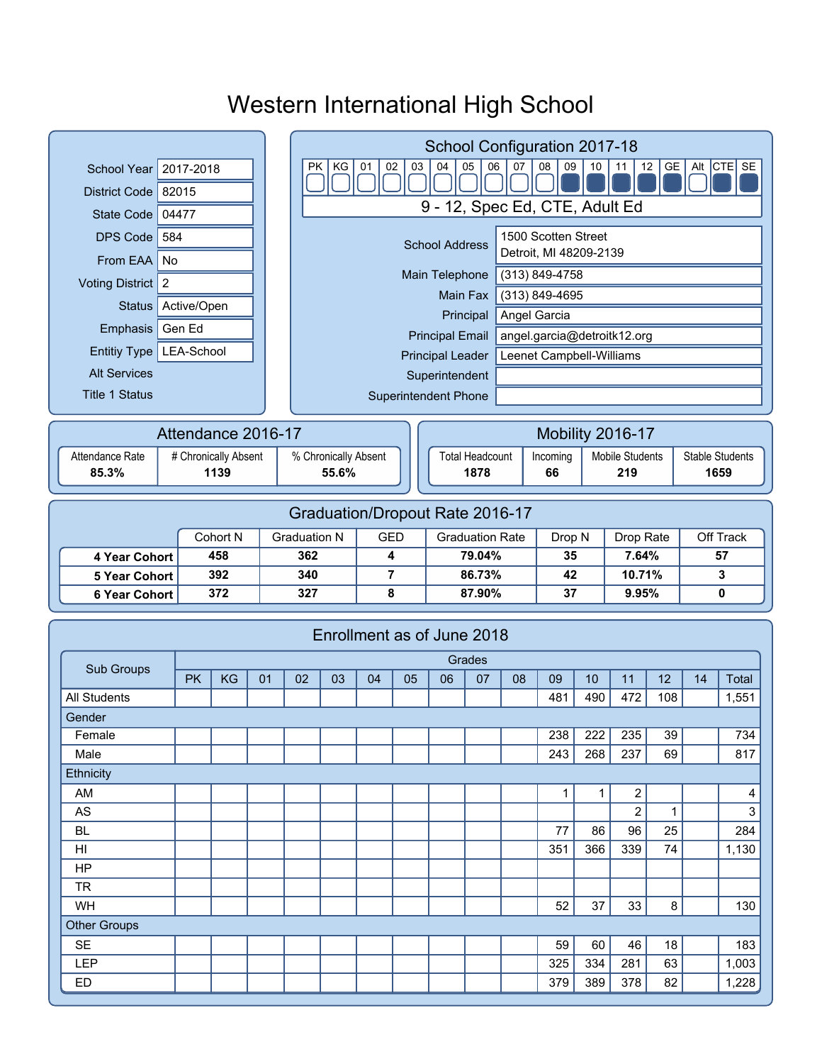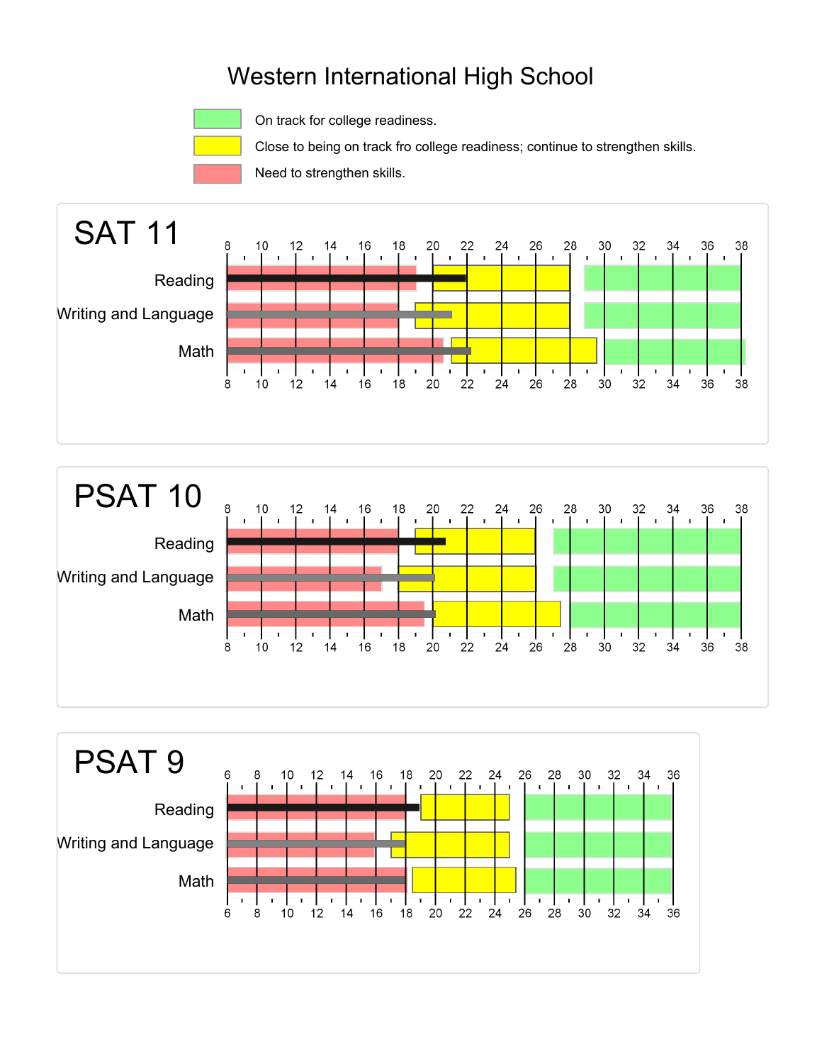

On track for college readiness.

Close to being on track fro college readiness; continue to strengthen skills.

Need to strengthen skills.





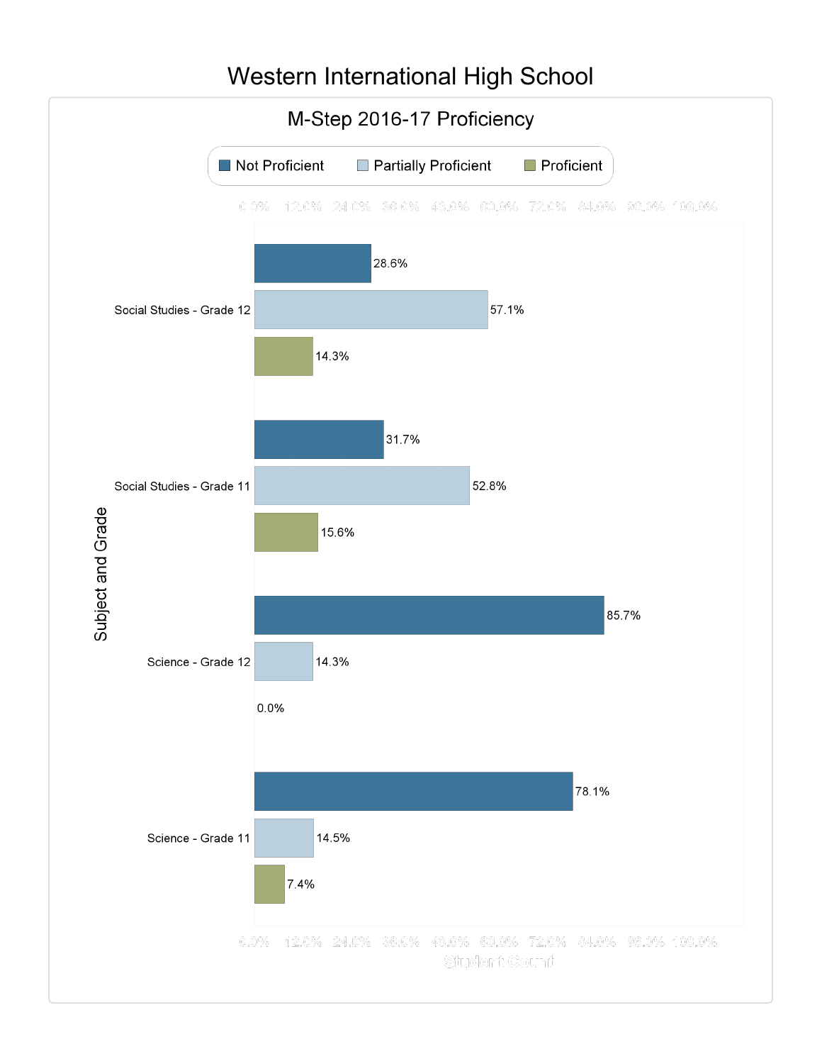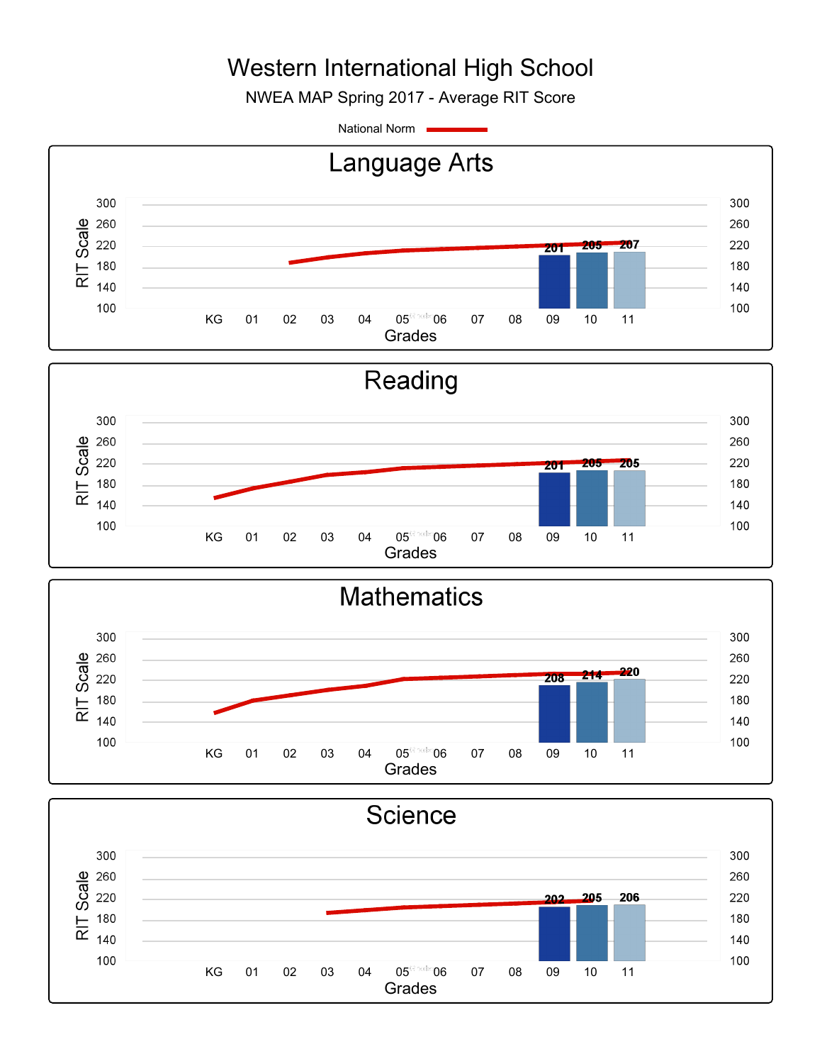NWEA MAP Spring 2017 - Average RIT Score

National Norm